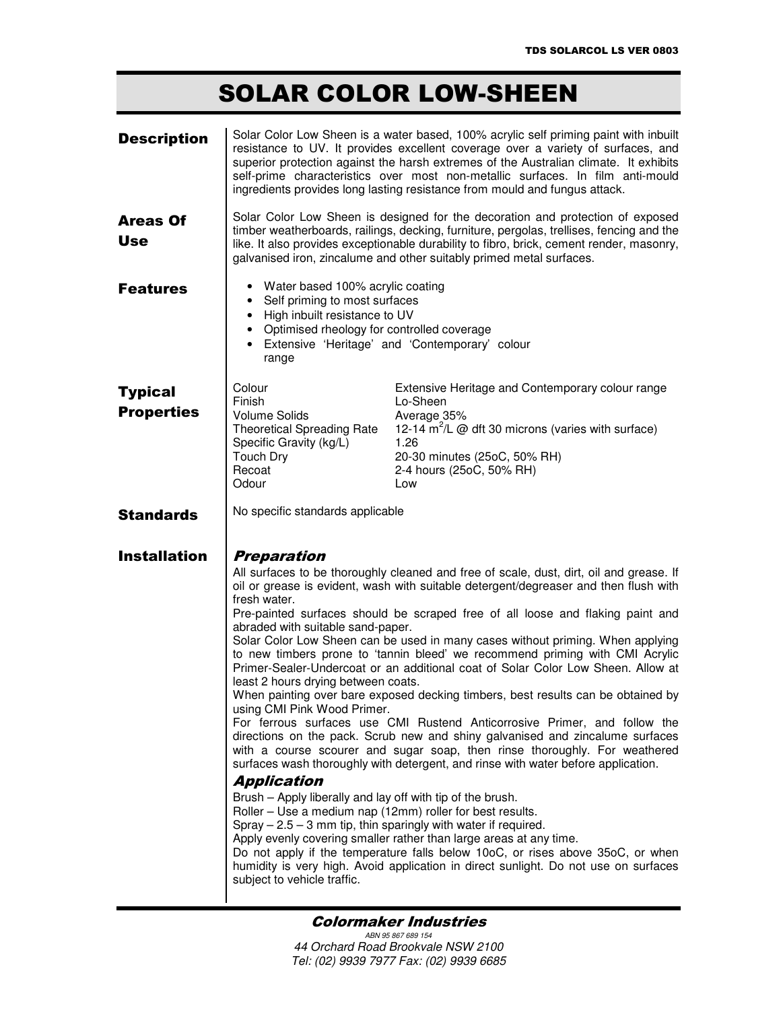## **SOLAR COLOR LOW-SHEEN**

| <b>Description</b>                  | Solar Color Low Sheen is a water based, 100% acrylic self priming paint with inbuilt<br>resistance to UV. It provides excellent coverage over a variety of surfaces, and<br>superior protection against the harsh extremes of the Australian climate. It exhibits<br>self-prime characteristics over most non-metallic surfaces. In film anti-mould<br>ingredients provides long lasting resistance from mould and fungus attack.                                                                                                                                                                                                                                                                                                                                                                                                                                                                                                                                                                                                                                                                                                                                                                                                                                                                                                                                                                                                                                                                                                                                                               |
|-------------------------------------|-------------------------------------------------------------------------------------------------------------------------------------------------------------------------------------------------------------------------------------------------------------------------------------------------------------------------------------------------------------------------------------------------------------------------------------------------------------------------------------------------------------------------------------------------------------------------------------------------------------------------------------------------------------------------------------------------------------------------------------------------------------------------------------------------------------------------------------------------------------------------------------------------------------------------------------------------------------------------------------------------------------------------------------------------------------------------------------------------------------------------------------------------------------------------------------------------------------------------------------------------------------------------------------------------------------------------------------------------------------------------------------------------------------------------------------------------------------------------------------------------------------------------------------------------------------------------------------------------|
| <b>Areas Of</b><br><b>Use</b>       | Solar Color Low Sheen is designed for the decoration and protection of exposed<br>timber weatherboards, railings, decking, furniture, pergolas, trellises, fencing and the<br>like. It also provides exceptionable durability to fibro, brick, cement render, masonry,<br>galvanised iron, zincalume and other suitably primed metal surfaces.                                                                                                                                                                                                                                                                                                                                                                                                                                                                                                                                                                                                                                                                                                                                                                                                                                                                                                                                                                                                                                                                                                                                                                                                                                                  |
| <b>Features</b>                     | • Water based 100% acrylic coating<br>• Self priming to most surfaces<br>• High inbuilt resistance to UV<br>• Optimised rheology for controlled coverage<br>Extensive 'Heritage' and 'Contemporary' colour<br>$\bullet$<br>range                                                                                                                                                                                                                                                                                                                                                                                                                                                                                                                                                                                                                                                                                                                                                                                                                                                                                                                                                                                                                                                                                                                                                                                                                                                                                                                                                                |
| <b>Typical</b><br><b>Properties</b> | Colour<br>Extensive Heritage and Contemporary colour range<br>Finish<br>Lo-Sheen<br><b>Volume Solids</b><br>Average 35%<br>12-14 $m^2/L$ @ dft 30 microns (varies with surface)<br><b>Theoretical Spreading Rate</b><br>1.26<br>Specific Gravity (kg/L)<br><b>Touch Dry</b><br>20-30 minutes (25oC, 50% RH)<br>Recoat<br>2-4 hours (25oC, 50% RH)<br>Odour<br>Low                                                                                                                                                                                                                                                                                                                                                                                                                                                                                                                                                                                                                                                                                                                                                                                                                                                                                                                                                                                                                                                                                                                                                                                                                               |
| <b>Standards</b>                    | No specific standards applicable                                                                                                                                                                                                                                                                                                                                                                                                                                                                                                                                                                                                                                                                                                                                                                                                                                                                                                                                                                                                                                                                                                                                                                                                                                                                                                                                                                                                                                                                                                                                                                |
| <b>Installation</b>                 | <b>Preparation</b><br>All surfaces to be thoroughly cleaned and free of scale, dust, dirt, oil and grease. If<br>oil or grease is evident, wash with suitable detergent/degreaser and then flush with<br>fresh water.<br>Pre-painted surfaces should be scraped free of all loose and flaking paint and<br>abraded with suitable sand-paper.<br>Solar Color Low Sheen can be used in many cases without priming. When applying<br>to new timbers prone to 'tannin bleed' we recommend priming with CMI Acrylic<br>Primer-Sealer-Undercoat or an additional coat of Solar Color Low Sheen. Allow at<br>least 2 hours drying between coats.<br>When painting over bare exposed decking timbers, best results can be obtained by<br>using CMI Pink Wood Primer.<br>For ferrous surfaces use CMI Rustend Anticorrosive Primer, and follow the<br>directions on the pack. Scrub new and shiny galvanised and zincalume surfaces<br>with a course scourer and sugar soap, then rinse thoroughly. For weathered<br>surfaces wash thoroughly with detergent, and rinse with water before application.<br><b>Application</b><br>Brush - Apply liberally and lay off with tip of the brush.<br>Roller - Use a medium nap (12mm) roller for best results.<br>Spray $-2.5 - 3$ mm tip, thin sparingly with water if required.<br>Apply evenly covering smaller rather than large areas at any time.<br>Do not apply if the temperature falls below 10oC, or rises above 35oC, or when<br>humidity is very high. Avoid application in direct sunlight. Do not use on surfaces<br>subject to vehicle traffic. |

## **Colormaker Industries**

ABN 95 867 689 154 44 Orchard Road Brookvale NSW 2100 Tel: (02) 9939 7977 Fax: (02) 9939 6685